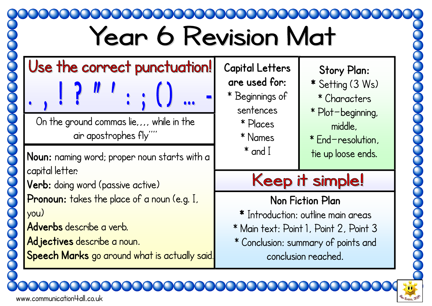## **Year 6 Revision Mat** Use the correct punctuation! **Capital Letters Story Plan: are used for: \*** Setting (3 Ws) \* Beginnings of \* Characters sentences \* Plot—beginning, On the ground commas lie, ... while in the \* Places middle, air apostrophes fly' \* Names \* End—resolution,  $^*$  and  $\rm I$ tie up loose ends. **Noun:** naming word; proper noun starts with a capital letter. Keep it simple! **Verb:** doing word (passive active) Pronoun: takes the place of a noun (e.g. I, **Non Fiction Plan**  you) **\*** Introduction: outline main areas **Adverbs** describe a verb. \* Main text: Point 1, Point 2, Point 3 **Adjectives** describe a noun. \* Conclusion: summary of points and **Speech Marks** go around what is actually said. conclusion reached.

www.communication4all.co.uk